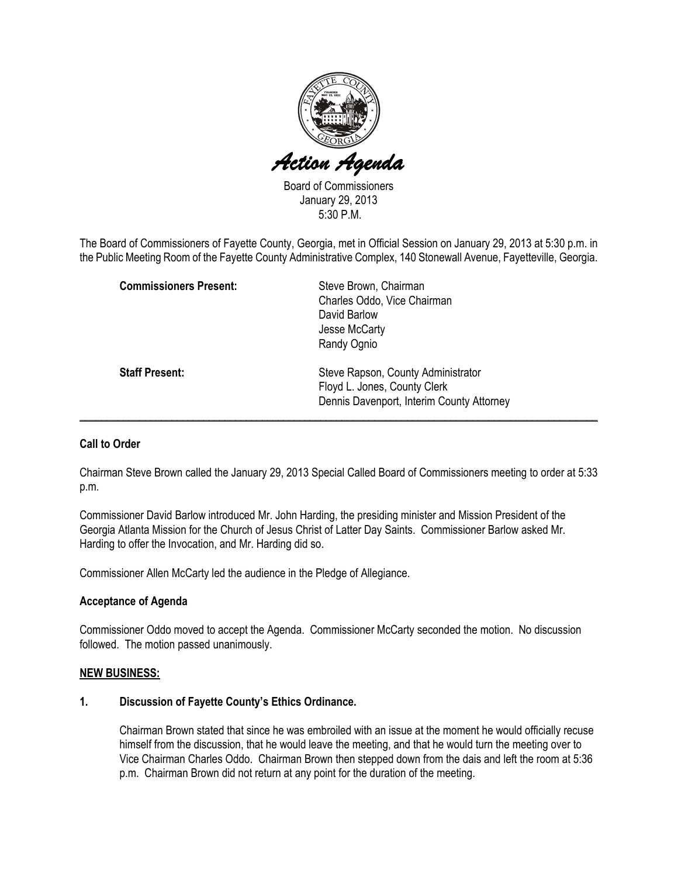

Board of Commissioners January 29, 2013 5:30 P.M.

The Board of Commissioners of Fayette County, Georgia, met in Official Session on January 29, 2013 at 5:30 p.m. in the Public Meeting Room of the Fayette County Administrative Complex, 140 Stonewall Avenue, Fayetteville, Georgia.

| <b>Commissioners Present:</b> | Steve Brown, Chairman<br>Charles Oddo, Vice Chairman<br>David Barlow<br>Jesse McCarty<br>Randy Ognio            |
|-------------------------------|-----------------------------------------------------------------------------------------------------------------|
| <b>Staff Present:</b>         | Steve Rapson, County Administrator<br>Floyd L. Jones, County Clerk<br>Dennis Davenport, Interim County Attorney |

## Call to Order

Chairman Steve Brown called the January 29, 2013 Special Called Board of Commissioners meeting to order at 5:33 p.m.

Commissioner David Barlow introduced Mr. John Harding, the presiding minister and Mission President of the Georgia Atlanta Mission for the Church of Jesus Christ of Latter Day Saints. Commissioner Barlow asked Mr. Harding to offer the Invocation, and Mr. Harding did so.

Commissioner Allen McCarty led the audience in the Pledge of Allegiance.

#### Acceptance of Agenda

Commissioner Oddo moved to accept the Agenda. Commissioner McCarty seconded the motion. No discussion followed. The motion passed unanimously.

#### NEW BUSINESS:

### 1. Discussion of Fayette County's Ethics Ordinance.

Chairman Brown stated that since he was embroiled with an issue at the moment he would officially recuse himself from the discussion, that he would leave the meeting, and that he would turn the meeting over to Vice Chairman Charles Oddo. Chairman Brown then stepped down from the dais and left the room at 5:36 p.m. Chairman Brown did not return at any point for the duration of the meeting.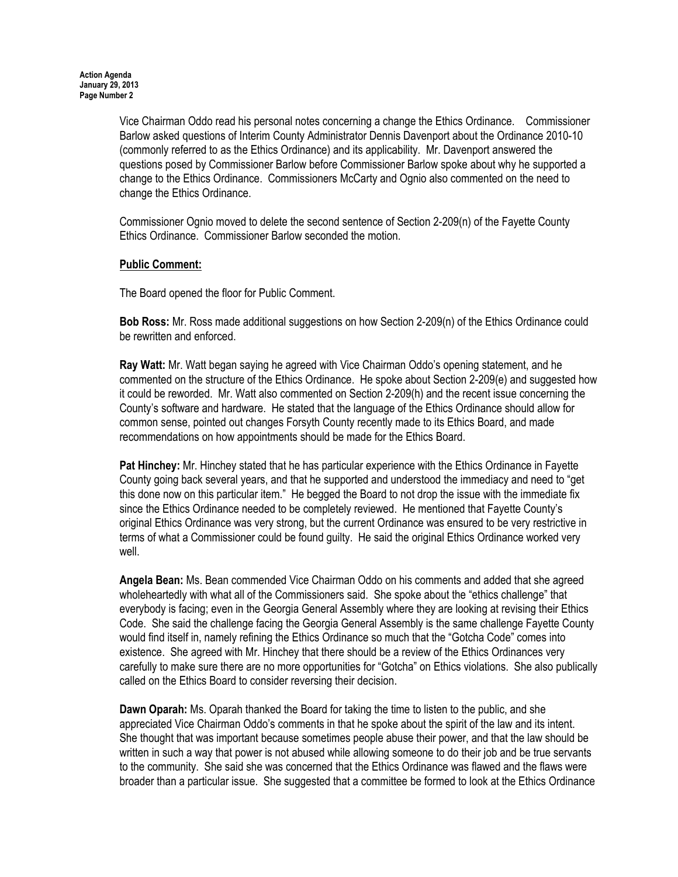Vice Chairman Oddo read his personal notes concerning a change the Ethics Ordinance. Commissioner Barlow asked questions of Interim County Administrator Dennis Davenport about the Ordinance 2010-10 (commonly referred to as the Ethics Ordinance) and its applicability. Mr. Davenport answered the questions posed by Commissioner Barlow before Commissioner Barlow spoke about why he supported a change to the Ethics Ordinance. Commissioners McCarty and Ognio also commented on the need to change the Ethics Ordinance.

Commissioner Ognio moved to delete the second sentence of Section 2-209(n) of the Fayette County Ethics Ordinance. Commissioner Barlow seconded the motion.

## Public Comment:

The Board opened the floor for Public Comment.

Bob Ross: Mr. Ross made additional suggestions on how Section 2-209(n) of the Ethics Ordinance could be rewritten and enforced.

Ray Watt: Mr. Watt began saying he agreed with Vice Chairman Oddo's opening statement, and he commented on the structure of the Ethics Ordinance. He spoke about Section 2-209(e) and suggested how it could be reworded. Mr. Watt also commented on Section 2-209(h) and the recent issue concerning the County's software and hardware. He stated that the language of the Ethics Ordinance should allow for common sense, pointed out changes Forsyth County recently made to its Ethics Board, and made recommendations on how appointments should be made for the Ethics Board.

Pat Hinchey: Mr. Hinchey stated that he has particular experience with the Ethics Ordinance in Fayette County going back several years, and that he supported and understood the immediacy and need to "get this done now on this particular item." He begged the Board to not drop the issue with the immediate fix since the Ethics Ordinance needed to be completely reviewed. He mentioned that Fayette County's original Ethics Ordinance was very strong, but the current Ordinance was ensured to be very restrictive in terms of what a Commissioner could be found guilty. He said the original Ethics Ordinance worked very well.

Angela Bean: Ms. Bean commended Vice Chairman Oddo on his comments and added that she agreed wholeheartedly with what all of the Commissioners said. She spoke about the "ethics challenge" that everybody is facing; even in the Georgia General Assembly where they are looking at revising their Ethics Code. She said the challenge facing the Georgia General Assembly is the same challenge Fayette County would find itself in, namely refining the Ethics Ordinance so much that the "Gotcha Code" comes into existence. She agreed with Mr. Hinchey that there should be a review of the Ethics Ordinances very carefully to make sure there are no more opportunities for "Gotcha" on Ethics violations. She also publically called on the Ethics Board to consider reversing their decision.

Dawn Oparah: Ms. Oparah thanked the Board for taking the time to listen to the public, and she appreciated Vice Chairman Oddo's comments in that he spoke about the spirit of the law and its intent. She thought that was important because sometimes people abuse their power, and that the law should be written in such a way that power is not abused while allowing someone to do their job and be true servants to the community. She said she was concerned that the Ethics Ordinance was flawed and the flaws were broader than a particular issue. She suggested that a committee be formed to look at the Ethics Ordinance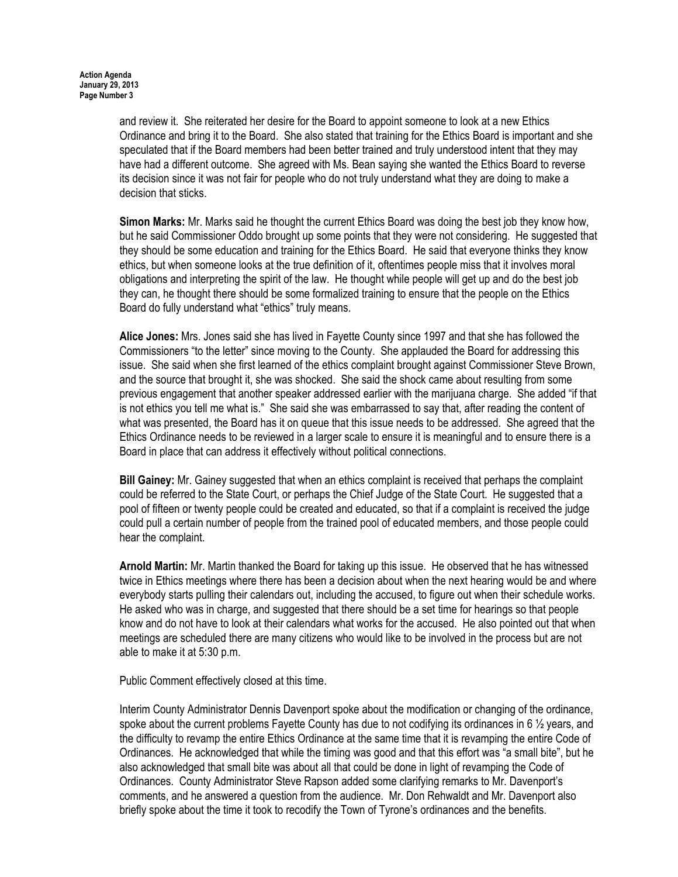and review it. She reiterated her desire for the Board to appoint someone to look at a new Ethics Ordinance and bring it to the Board. She also stated that training for the Ethics Board is important and she speculated that if the Board members had been better trained and truly understood intent that they may have had a different outcome. She agreed with Ms. Bean saying she wanted the Ethics Board to reverse its decision since it was not fair for people who do not truly understand what they are doing to make a decision that sticks.

Simon Marks: Mr. Marks said he thought the current Ethics Board was doing the best job they know how, but he said Commissioner Oddo brought up some points that they were not considering. He suggested that they should be some education and training for the Ethics Board. He said that everyone thinks they know ethics, but when someone looks at the true definition of it, oftentimes people miss that it involves moral obligations and interpreting the spirit of the law. He thought while people will get up and do the best job they can, he thought there should be some formalized training to ensure that the people on the Ethics Board do fully understand what "ethics" truly means.

Alice Jones: Mrs. Jones said she has lived in Fayette County since 1997 and that she has followed the Commissioners "to the letter" since moving to the County. She applauded the Board for addressing this issue. She said when she first learned of the ethics complaint brought against Commissioner Steve Brown, and the source that brought it, she was shocked. She said the shock came about resulting from some previous engagement that another speaker addressed earlier with the marijuana charge. She added "if that is not ethics you tell me what is." She said she was embarrassed to say that, after reading the content of what was presented, the Board has it on queue that this issue needs to be addressed. She agreed that the Ethics Ordinance needs to be reviewed in a larger scale to ensure it is meaningful and to ensure there is a Board in place that can address it effectively without political connections.

Bill Gainey: Mr. Gainey suggested that when an ethics complaint is received that perhaps the complaint could be referred to the State Court, or perhaps the Chief Judge of the State Court. He suggested that a pool of fifteen or twenty people could be created and educated, so that if a complaint is received the judge could pull a certain number of people from the trained pool of educated members, and those people could hear the complaint.

Arnold Martin: Mr. Martin thanked the Board for taking up this issue. He observed that he has witnessed twice in Ethics meetings where there has been a decision about when the next hearing would be and where everybody starts pulling their calendars out, including the accused, to figure out when their schedule works. He asked who was in charge, and suggested that there should be a set time for hearings so that people know and do not have to look at their calendars what works for the accused. He also pointed out that when meetings are scheduled there are many citizens who would like to be involved in the process but are not able to make it at 5:30 p.m.

Public Comment effectively closed at this time.

Interim County Administrator Dennis Davenport spoke about the modification or changing of the ordinance, spoke about the current problems Fayette County has due to not codifying its ordinances in 6  $\frac{1}{2}$  years, and the difficulty to revamp the entire Ethics Ordinance at the same time that it is revamping the entire Code of Ordinances. He acknowledged that while the timing was good and that this effort was "a small bite", but he also acknowledged that small bite was about all that could be done in light of revamping the Code of Ordinances. County Administrator Steve Rapson added some clarifying remarks to Mr. Davenport's comments, and he answered a question from the audience. Mr. Don Rehwaldt and Mr. Davenport also briefly spoke about the time it took to recodify the Town of Tyrone's ordinances and the benefits.